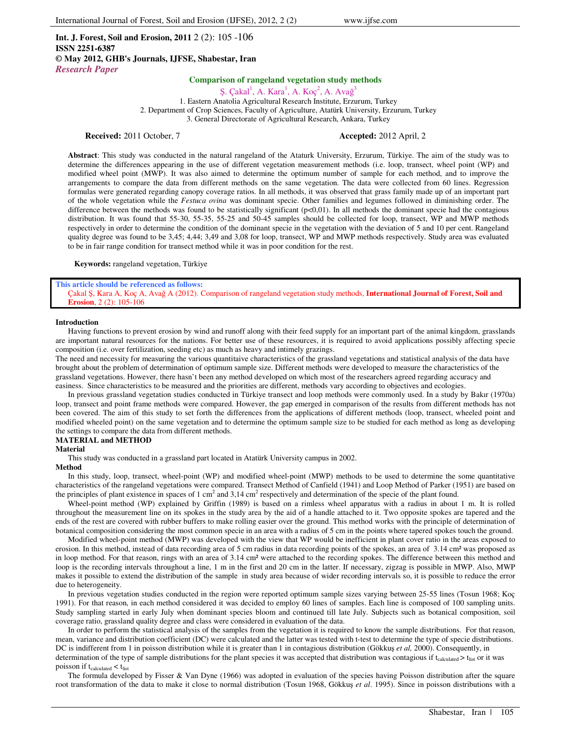**Int. J. Forest, Soil and Erosion, 2011** 2 (2): 105 -106 **ISSN 2251-6387 © May 2012, GHB's Journals, IJFSE, Shabestar, Iran** *Research Paper*

## **Comparison of rangeland vegetation study methods**

Ş. Çakal<sup>1</sup>, A. Kara<sup>1</sup>, A. Koç<sup>2</sup>, A. Avağ<sup>3</sup>

1. Eastern Anatolia Agricultural Research Institute, Erzurum, Turkey 2. Department of Crop Sciences, Faculty of Agriculture, Atatürk University, Erzurum, Turkey 3. General Directorate of Agricultural Research, Ankara, Turkey

## **Received:** 2011 October, 7 **Accepted:** 2012 April, 2

**Abstract**: This study was conducted in the natural rangeland of the Ataturk University, Erzurum, Türkiye. The aim of the study was to determine the differences appearing in the use of different vegetation measurement methods (i.e. loop, transect, wheel point (WP) and modified wheel point (MWP). It was also aimed to determine the optimum number of sample for each method, and to improve the arrangements to compare the data from different methods on the same vegetation. The data were collected from 60 lines. Regression formulas were generated regarding canopy coverage ratios. In all methods, it was observed that grass family made up of an important part of the whole vegetation while the *Festuca ovina* was dominant specie. Other families and legumes followed in diminishing order. The difference between the methods was found to be statistically significant  $(p<0,01)$ . In all methods the dominant specie had the contagious distribution. It was found that 55-30, 55-35, 55-25 and 50-45 samples should be collected for loop, transect, WP and MWP methods respectively in order to determine the condition of the dominant specie in the vegetation with the deviation of 5 and 10 per cent. Rangeland quality degree was found to be 3,45; 4,44; 3,49 and 3,08 for loop, transect, WP and MWP methods respectively. Study area was evaluated to be in fair range condition for transect method while it was in poor condition for the rest.

**Keywords:** rangeland vegetation, Türkiye

### **This article should be referenced as follows:**

Çakal Ş, Kara A, Koç A, Avağ A (2012). Comparison of rangeland vegetation study methods, **International Journal of Forest, Soil and Erosion**, 2 (2): 105-106

## **Introduction**

Having functions to prevent erosion by wind and runoff along with their feed supply for an important part of the animal kingdom, grasslands are important natural resources for the nations. For better use of these resources, it is required to avoid applications possibly affecting specie composition (i.e. over fertilization, seeding etc) as much as heavy and intimely grazings.

The need and necessity for measuring the various quantitaive characteristics of the grassland vegetations and statistical analysis of the data have brought about the problem of determination of optimum sample size. Different methods were developed to measure the characteristics of the grassland vegetations. However, there hasn't been any method developed on which most of the researchers agreed regarding accuracy and easiness. Since characteristics to be measured and the priorities are different, methods vary according to objectives and ecologies.

In previous grassland vegetation studies conducted in Türkiye transect and loop methods were commonly used. In a study by Bakır (1970a) loop, transect and point frame methods were compared. However, the gap emerged in comparison of the results from different methods has not been covered. The aim of this study to set forth the differences from the applications of different methods (loop, transect, wheeled point and modified wheeled point) on the same vegetation and to determine the optimum sample size to be studied for each method as long as developing the settings to compare the data from different methods.

# **MATERIAL and METHOD**

## **Material**

This study was conducted in a grassland part located in Atatürk University campus in 2002.

## **Method**

In this study, loop, transect, wheel-point (WP) and modified wheel-point (MWP) methods to be used to determine the some quantitative characteristics of the rangeland vegetations were compared. Transect Method of Canfield (1941) and Loop Method of Parker (1951) are based on the principles of plant existence in spaces of 1 cm<sup>2</sup> and 3,14 cm<sup>2</sup> respectively and determination of the specie of the plant found.

Wheel-point method (WP) explained by Griffin (1989) is based on a rimless wheel apparatus with a radius in about 1 m. It is rolled throughout the measurement line on its spokes in the study area by the aid of a handle attached to it. Two opposite spokes are tapered and the ends of the rest are covered with rubber buffers to make rolling easier over the ground. This method works with the principle of determination of botanical composition considering the most common specie in an area with a radius of 5 cm in the points where tapered spokes touch the ground.

Modified wheel-point method (MWP) was developed with the view that WP would be inefficient in plant cover ratio in the areas exposed to erosion. In this method, instead of data recording area of 5 cm radius in data recording points of the spokes, an area of 3.14 cm<sup>2</sup> was proposed as in loop method. For that reason, rings with an area of 3.14 cm<sup>2</sup> were attached to the recording spokes. The difference between this method and loop is the recording intervals throughout a line, 1 m in the first and 20 cm in the latter. If necessary, zigzag is possible in MWP. Also, MWP makes it possible to extend the distribution of the sample in study area because of wider recording intervals so, it is possible to reduce the error due to heterogeneity.

In previous vegetation studies conducted in the region were reported optimum sample sizes varying between 25-55 lines (Tosun 1968; Koç 1991). For that reason, in each method considered it was decided to employ 60 lines of samples. Each line is composed of 100 sampling units. Study sampling started in early July when dominant species bloom and continued till late July. Subjects such as botanical composition, soil coverage ratio, grassland quality degree and class were considered in evaluation of the data.

In order to perform the statistical analysis of the samples from the vegetation it is required to know the sample distributions. For that reason, mean, variance and distribution coefficient (DC) were calculated and the latter was tested with t-test to determine the type of specie distributions. DC is indifferent from 1 in poisson distribution while it is greater than 1 in contagious distribution (Gökkuş *et al,* 2000). Consequently, in determination of the type of sample distributions for the plant species it was accepted that distribution was contagious if  $t_{\text{calculated}}$  >  $t_{\text{list}}$  or it was poisson if  $t_{calculated} < t_{list}$ 

The formula developed by Fisser & Van Dyne (1966) was adopted in evaluation of the species having Poisson distribution after the square root transformation of the data to make it close to normal distribution (Tosun 1968, Gökkuş *et al*. 1995). Since in poisson distributions with a